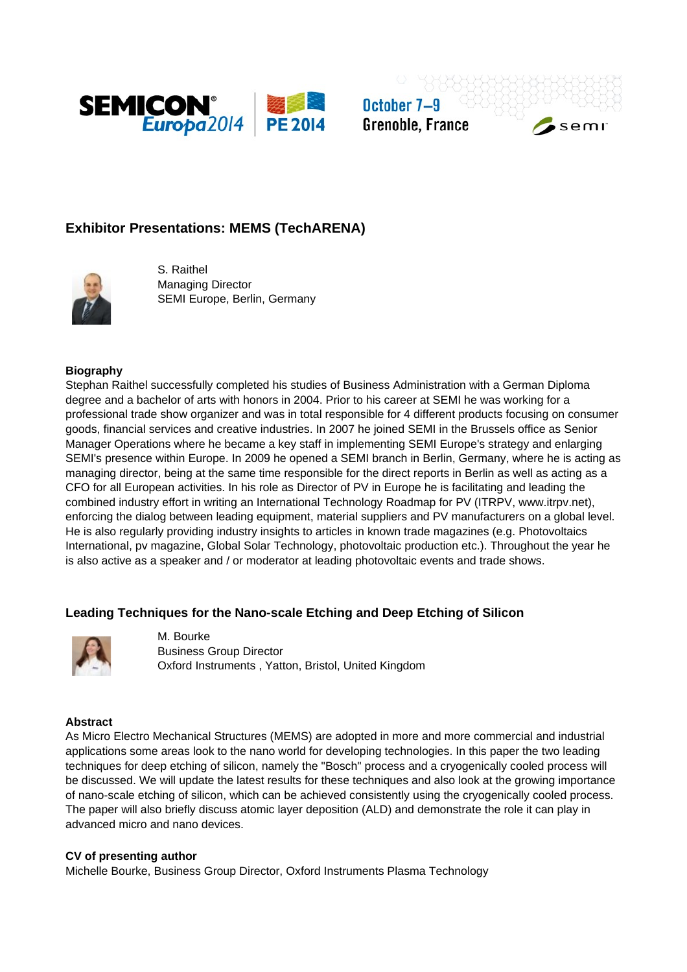

October 7-9 **Grenoble, France** 

# semi

## **Exhibitor Presentations: MEMS (TechARENA)**



S. Raithel Managing Director SEMI Europe, Berlin, Germany

#### **Biography**

Stephan Raithel successfully completed his studies of Business Administration with a German Diploma degree and a bachelor of arts with honors in 2004. Prior to his career at SEMI he was working for a professional trade show organizer and was in total responsible for 4 different products focusing on consumer goods, financial services and creative industries. In 2007 he joined SEMI in the Brussels office as Senior Manager Operations where he became a key staff in implementing SEMI Europe's strategy and enlarging SEMI's presence within Europe. In 2009 he opened a SEMI branch in Berlin, Germany, where he is acting as managing director, being at the same time responsible for the direct reports in Berlin as well as acting as a CFO for all European activities. In his role as Director of PV in Europe he is facilitating and leading the combined industry effort in writing an International Technology Roadmap for PV (ITRPV, www.itrpv.net), enforcing the dialog between leading equipment, material suppliers and PV manufacturers on a global level. He is also regularly providing industry insights to articles in known trade magazines (e.g. Photovoltaics International, pv magazine, Global Solar Technology, photovoltaic production etc.). Throughout the year he is also active as a speaker and / or moderator at leading photovoltaic events and trade shows.

## **Leading Techniques for the Nano-scale Etching and Deep Etching of Silicon**



M. Bourke Business Group Director Oxford Instruments , Yatton, Bristol, United Kingdom

#### **Abstract**

As Micro Electro Mechanical Structures (MEMS) are adopted in more and more commercial and industrial applications some areas look to the nano world for developing technologies. In this paper the two leading techniques for deep etching of silicon, namely the "Bosch" process and a cryogenically cooled process will be discussed. We will update the latest results for these techniques and also look at the growing importance of nano-scale etching of silicon, which can be achieved consistently using the cryogenically cooled process. The paper will also briefly discuss atomic layer deposition (ALD) and demonstrate the role it can play in advanced micro and nano devices.

#### **CV of presenting author**

Michelle Bourke, Business Group Director, Oxford Instruments Plasma Technology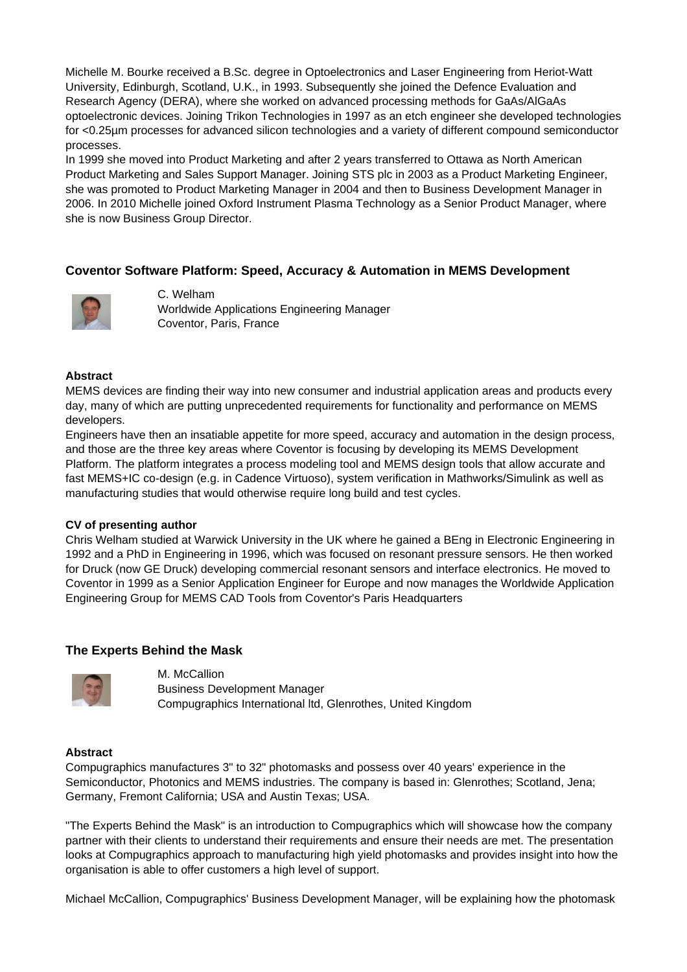Michelle M. Bourke received a B.Sc. degree in Optoelectronics and Laser Engineering from Heriot-Watt University, Edinburgh, Scotland, U.K., in 1993. Subsequently she joined the Defence Evaluation and Research Agency (DERA), where she worked on advanced processing methods for GaAs/AlGaAs optoelectronic devices. Joining Trikon Technologies in 1997 as an etch engineer she developed technologies for <0.25µm processes for advanced silicon technologies and a variety of different compound semiconductor processes.

In 1999 she moved into Product Marketing and after 2 years transferred to Ottawa as North American Product Marketing and Sales Support Manager. Joining STS plc in 2003 as a Product Marketing Engineer, she was promoted to Product Marketing Manager in 2004 and then to Business Development Manager in 2006. In 2010 Michelle joined Oxford Instrument Plasma Technology as a Senior Product Manager, where she is now Business Group Director.

## **Coventor Software Platform: Speed, Accuracy & Automation in MEMS Development**



C. Welham Worldwide Applications Engineering Manager Coventor, Paris, France

#### **Abstract**

MEMS devices are finding their way into new consumer and industrial application areas and products every day, many of which are putting unprecedented requirements for functionality and performance on MEMS developers.

Engineers have then an insatiable appetite for more speed, accuracy and automation in the design process, and those are the three key areas where Coventor is focusing by developing its MEMS Development Platform. The platform integrates a process modeling tool and MEMS design tools that allow accurate and fast MEMS+IC co-design (e.g. in Cadence Virtuoso), system verification in Mathworks/Simulink as well as manufacturing studies that would otherwise require long build and test cycles.

#### **CV of presenting author**

Chris Welham studied at Warwick University in the UK where he gained a BEng in Electronic Engineering in 1992 and a PhD in Engineering in 1996, which was focused on resonant pressure sensors. He then worked for Druck (now GE Druck) developing commercial resonant sensors and interface electronics. He moved to Coventor in 1999 as a Senior Application Engineer for Europe and now manages the Worldwide Application Engineering Group for MEMS CAD Tools from Coventor's Paris Headquarters

## **The Experts Behind the Mask**



M. McCallion Business Development Manager Compugraphics International ltd, Glenrothes, United Kingdom

#### **Abstract**

Compugraphics manufactures 3" to 32" photomasks and possess over 40 years' experience in the Semiconductor, Photonics and MEMS industries. The company is based in: Glenrothes; Scotland, Jena; Germany, Fremont California; USA and Austin Texas; USA.

"The Experts Behind the Mask" is an introduction to Compugraphics which will showcase how the company partner with their clients to understand their requirements and ensure their needs are met. The presentation looks at Compugraphics approach to manufacturing high yield photomasks and provides insight into how the organisation is able to offer customers a high level of support.

Michael McCallion, Compugraphics' Business Development Manager, will be explaining how the photomask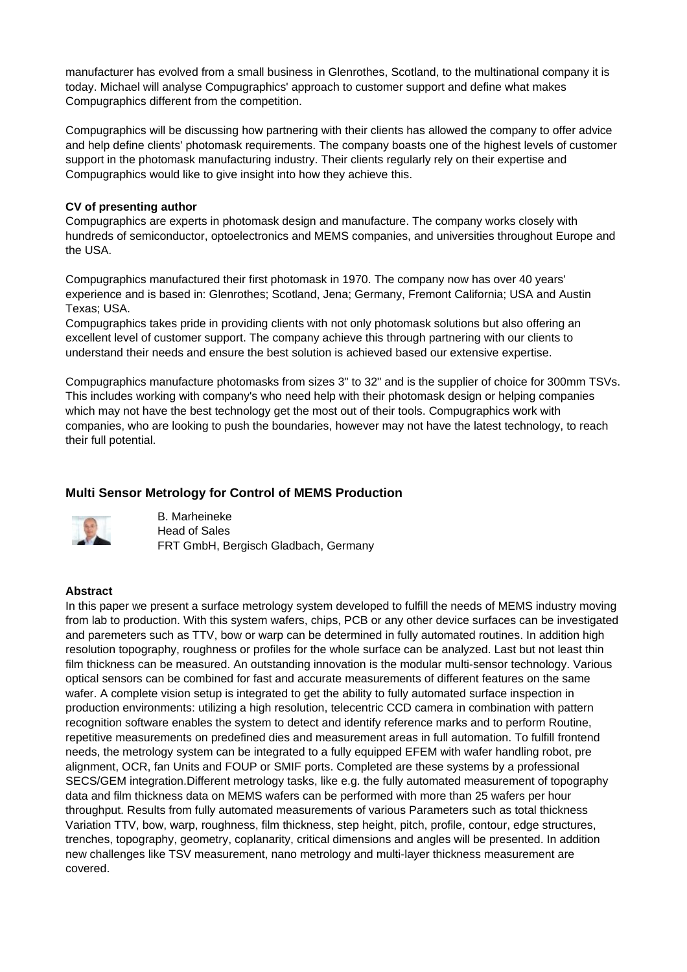manufacturer has evolved from a small business in Glenrothes, Scotland, to the multinational company it is today. Michael will analyse Compugraphics' approach to customer support and define what makes Compugraphics different from the competition.

Compugraphics will be discussing how partnering with their clients has allowed the company to offer advice and help define clients' photomask requirements. The company boasts one of the highest levels of customer support in the photomask manufacturing industry. Their clients regularly rely on their expertise and Compugraphics would like to give insight into how they achieve this.

## **CV of presenting author**

Compugraphics are experts in photomask design and manufacture. The company works closely with hundreds of semiconductor, optoelectronics and MEMS companies, and universities throughout Europe and the USA.

Compugraphics manufactured their first photomask in 1970. The company now has over 40 years' experience and is based in: Glenrothes; Scotland, Jena; Germany, Fremont California; USA and Austin Texas; USA.

Compugraphics takes pride in providing clients with not only photomask solutions but also offering an excellent level of customer support. The company achieve this through partnering with our clients to understand their needs and ensure the best solution is achieved based our extensive expertise.

Compugraphics manufacture photomasks from sizes 3" to 32" and is the supplier of choice for 300mm TSVs. This includes working with company's who need help with their photomask design or helping companies which may not have the best technology get the most out of their tools. Compugraphics work with companies, who are looking to push the boundaries, however may not have the latest technology, to reach their full potential.

## **Multi Sensor Metrology for Control of MEMS Production**



B. Marheineke Head of Sales FRT GmbH, Bergisch Gladbach, Germany

#### **Abstract**

In this paper we present a surface metrology system developed to fulfill the needs of MEMS industry moving from lab to production. With this system wafers, chips, PCB or any other device surfaces can be investigated and paremeters such as TTV, bow or warp can be determined in fully automated routines. In addition high resolution topography, roughness or profiles for the whole surface can be analyzed. Last but not least thin film thickness can be measured. An outstanding innovation is the modular multi-sensor technology. Various optical sensors can be combined for fast and accurate measurements of different features on the same wafer. A complete vision setup is integrated to get the ability to fully automated surface inspection in production environments: utilizing a high resolution, telecentric CCD camera in combination with pattern recognition software enables the system to detect and identify reference marks and to perform Routine, repetitive measurements on predefined dies and measurement areas in full automation. To fulfill frontend needs, the metrology system can be integrated to a fully equipped EFEM with wafer handling robot, pre alignment, OCR, fan Units and FOUP or SMIF ports. Completed are these systems by a professional SECS/GEM integration.Different metrology tasks, like e.g. the fully automated measurement of topography data and film thickness data on MEMS wafers can be performed with more than 25 wafers per hour throughput. Results from fully automated measurements of various Parameters such as total thickness Variation TTV, bow, warp, roughness, film thickness, step height, pitch, profile, contour, edge structures, trenches, topography, geometry, coplanarity, critical dimensions and angles will be presented. In addition new challenges like TSV measurement, nano metrology and multi-layer thickness measurement are covered.